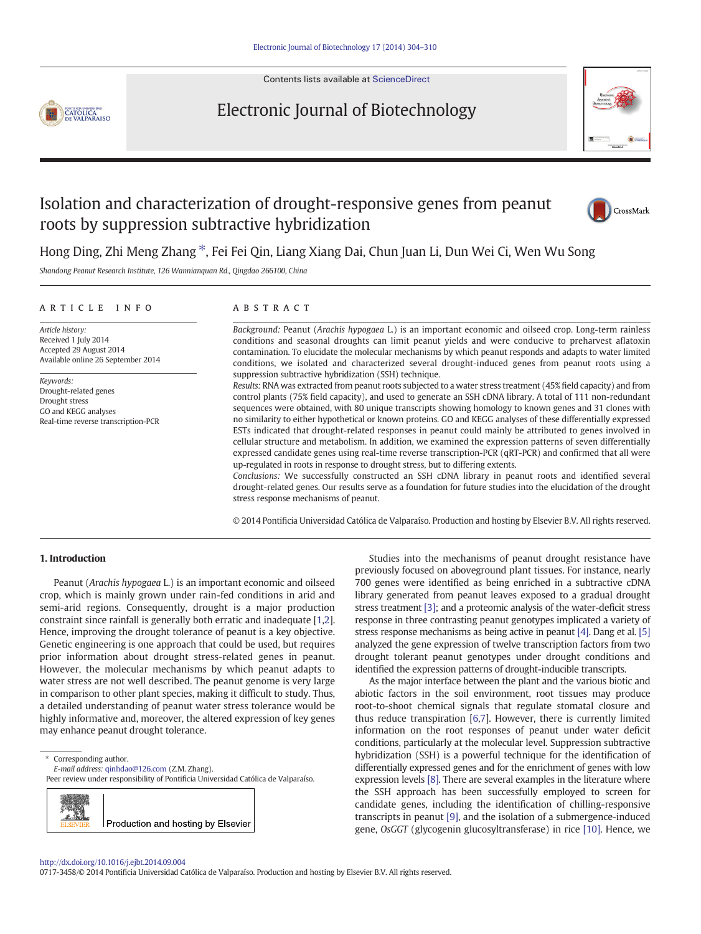Contents lists available at [ScienceDirect](http://www.sciencedirect.com/science/journal/)

# **CATOLICA**<br>DE VALPARAISO

### Electronic Journal of Biotechnology



## Isolation and characterization of drought-responsive genes from peanut roots by suppression subtractive hybridization



Hong Ding, Zhi Meng Zhang ⁎, Fei Fei Qin, Liang Xiang Dai, Chun Juan Li, Dun Wei Ci, Wen Wu Song

Shandong Peanut Research Institute, 126 Wannianquan Rd., Qingdao 266100, China

#### article info abstract

Article history: Received 1 July 2014 Accepted 29 August 2014 Available online 26 September 2014

Keywords: Drought-related genes Drought stress GO and KEGG analyses Real-time reverse transcription-PCR

Background: Peanut (Arachis hypogaea L.) is an important economic and oilseed crop. Long-term rainless conditions and seasonal droughts can limit peanut yields and were conducive to preharvest aflatoxin contamination. To elucidate the molecular mechanisms by which peanut responds and adapts to water limited conditions, we isolated and characterized several drought-induced genes from peanut roots using a suppression subtractive hybridization (SSH) technique.

Results: RNA was extracted from peanut roots subjected to a water stress treatment (45% field capacity) and from control plants (75% field capacity), and used to generate an SSH cDNA library. A total of 111 non-redundant sequences were obtained, with 80 unique transcripts showing homology to known genes and 31 clones with no similarity to either hypothetical or known proteins. GO and KEGG analyses of these differentially expressed ESTs indicated that drought-related responses in peanut could mainly be attributed to genes involved in cellular structure and metabolism. In addition, we examined the expression patterns of seven differentially expressed candidate genes using real-time reverse transcription-PCR (qRT-PCR) and confirmed that all were up-regulated in roots in response to drought stress, but to differing extents.

Conclusions: We successfully constructed an SSH cDNA library in peanut roots and identified several drought-related genes. Our results serve as a foundation for future studies into the elucidation of the drought stress response mechanisms of peanut.

© 2014 Pontificia Universidad Católica de Valparaíso. Production and hosting by Elsevier B.V. All rights reserved.

#### 1. Introduction

Peanut (Arachis hypogaea L.) is an important economic and oilseed crop, which is mainly grown under rain-fed conditions in arid and semi-arid regions. Consequently, drought is a major production constraint since rainfall is generally both erratic and inadequate [\[1,2](#page-6-0)]. Hence, improving the drought tolerance of peanut is a key objective. Genetic engineering is one approach that could be used, but requires prior information about drought stress-related genes in peanut. However, the molecular mechanisms by which peanut adapts to water stress are not well described. The peanut genome is very large in comparison to other plant species, making it difficult to study. Thus, a detailed understanding of peanut water stress tolerance would be highly informative and, moreover, the altered expression of key genes may enhance peanut drought tolerance.

⁎ Corresponding author.

E-mail address: [qinhdao@126.com](mailto:qinhdao@126.com) (Z.M. Zhang).

Peer review under responsibility of Pontificia Universidad Católica de Valparaíso.



Studies into the mechanisms of peanut drought resistance have previously focused on aboveground plant tissues. For instance, nearly 700 genes were identified as being enriched in a subtractive cDNA library generated from peanut leaves exposed to a gradual drought stress treatment [\[3\]](#page-6-0); and a proteomic analysis of the water-deficit stress response in three contrasting peanut genotypes implicated a variety of stress response mechanisms as being active in peanut [\[4\]](#page-6-0). Dang et al. [\[5\]](#page-6-0) analyzed the gene expression of twelve transcription factors from two drought tolerant peanut genotypes under drought conditions and identified the expression patterns of drought-inducible transcripts.

As the major interface between the plant and the various biotic and abiotic factors in the soil environment, root tissues may produce root-to-shoot chemical signals that regulate stomatal closure and thus reduce transpiration [[6,7\]](#page-6-0). However, there is currently limited information on the root responses of peanut under water deficit conditions, particularly at the molecular level. Suppression subtractive hybridization (SSH) is a powerful technique for the identification of differentially expressed genes and for the enrichment of genes with low expression levels [\[8\].](#page-6-0) There are several examples in the literature where the SSH approach has been successfully employed to screen for candidate genes, including the identification of chilling-responsive transcripts in peanut [\[9\]](#page-6-0), and the isolation of a submergence-induced gene, OsGGT (glycogenin glucosyltransferase) in rice [\[10\]](#page-6-0). Hence, we

#### <http://dx.doi.org/10.1016/j.ejbt.2014.09.004>

0717-3458/© 2014 Pontificia Universidad Católica de Valparaíso. Production and hosting by Elsevier B.V. All rights reserved.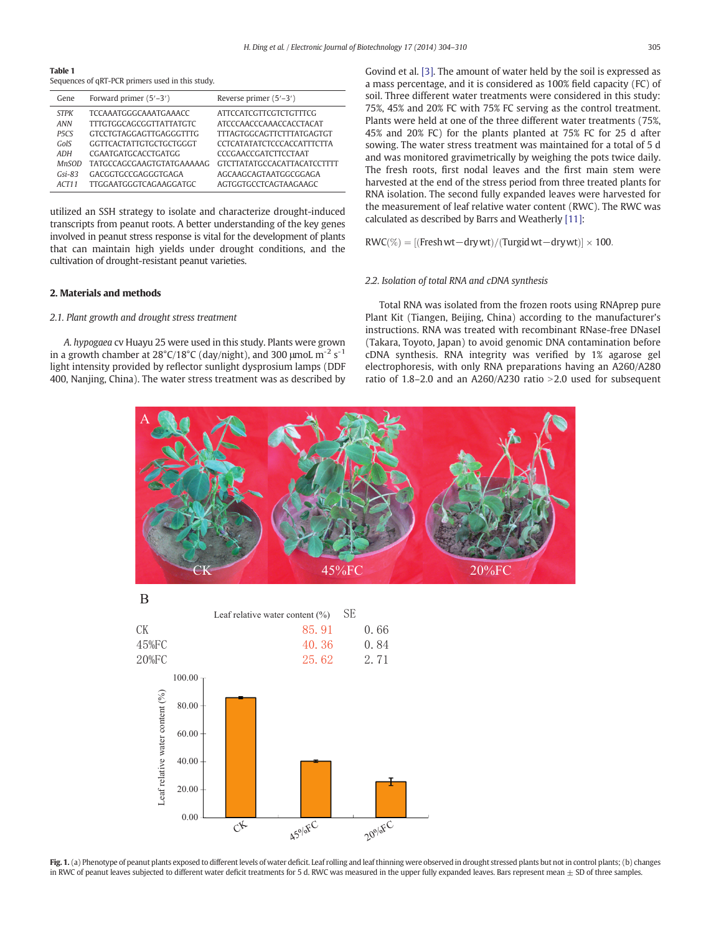<span id="page-1-0"></span>Table 1 Sequences of qRT-PCR primers used in this study.

| Gene              | Forward primer (5'-3')         | Reverse primer $(5'-3')$           |
|-------------------|--------------------------------|------------------------------------|
| <b>STPK</b>       | TCCAAATGGGCAAATGAAACC          | ATTCCATCGTTCGTCTGTTTCG             |
| ANN               | TITGTGGCAGCGGTTATTATGTC        | ATCCCAACCCAAACCACCTACAT            |
| P <sub>5</sub> CS | <b>GTCCTGTAGGAGTTGAGGGTTTG</b> | <b>TITAGTGGCAGTTCTTTATGAGTGT</b>   |
| GolS              | GGTTCACTATTGTGCTGCTGGGT        | CCTCATATATCTCCCACCATTTCTTA         |
| ADH               | CGAATGATGCACCTGATGG            | CCCGAACCGATCTTCCTAAT               |
| <b>MnSOD</b>      | TATGCCAGCGAAGTGTATGAAAAAG      | <b>GTCTTATATGCCACATTACATCCTTTT</b> |
| $Gsi-83$          | GACGGTGCCGAGGGTGAGA            | AGCAAGCAGTAATGGCGGAGA              |
| ACT11             | <b>TTGGAATGGGTCAGAAGGATGC</b>  | AGTGGTGCCTCAGTAAGAAGC              |

utilized an SSH strategy to isolate and characterize drought-induced transcripts from peanut roots. A better understanding of the key genes involved in peanut stress response is vital for the development of plants that can maintain high yields under drought conditions, and the cultivation of drought-resistant peanut varieties.

#### 2. Materials and methods

#### 2.1. Plant growth and drought stress treatment

A. hypogaea cv Huayu 25 were used in this study. Plants were grown in a growth chamber at 28°C/18°C (day/night), and 300  $\mu$ moL m<sup>-2</sup> s<sup>-1</sup> light intensity provided by reflector sunlight dysprosium lamps (DDF 400, Nanjing, China). The water stress treatment was as described by Govind et al. [\[3\]](#page-6-0). The amount of water held by the soil is expressed as a mass percentage, and it is considered as 100% field capacity (FC) of soil. Three different water treatments were considered in this study: 75%, 45% and 20% FC with 75% FC serving as the control treatment. Plants were held at one of the three different water treatments (75%, 45% and 20% FC) for the plants planted at 75% FC for 25 d after sowing. The water stress treatment was maintained for a total of 5 d and was monitored gravimetrically by weighing the pots twice daily. The fresh roots, first nodal leaves and the first main stem were harvested at the end of the stress period from three treated plants for RNA isolation. The second fully expanded leaves were harvested for the measurement of leaf relative water content (RWC). The RWC was calculated as described by Barrs and Weatherly [\[11\]](#page-6-0):

 $RWC(\%) = [(Fresh wt - dry wt)/(Turgid wt - drywt)] \times 100$ .

#### 2.2. Isolation of total RNA and cDNA synthesis

Total RNA was isolated from the frozen roots using RNAprep pure Plant Kit (Tiangen, Beijing, China) according to the manufacturer's instructions. RNA was treated with recombinant RNase-free DNaseI (Takara, Toyoto, Japan) to avoid genomic DNA contamination before cDNA synthesis. RNA integrity was verified by 1% agarose gel electrophoresis, with only RNA preparations having an A260/A280 ratio of 1.8–2.0 and an A260/A230 ratio  $>2.0$  used for subsequent





Fig. 1. (a) Phenotype of peanut plants exposed to different levels of water deficit. Leaf rolling and leaf thinning were observed in drought stressed plants but not in control plants; (b) changes in RWC of peanut leaves subjected to different water deficit treatments for 5 d. RWC was measured in the upper fully expanded leaves. Bars represent mean ± SD of three samples.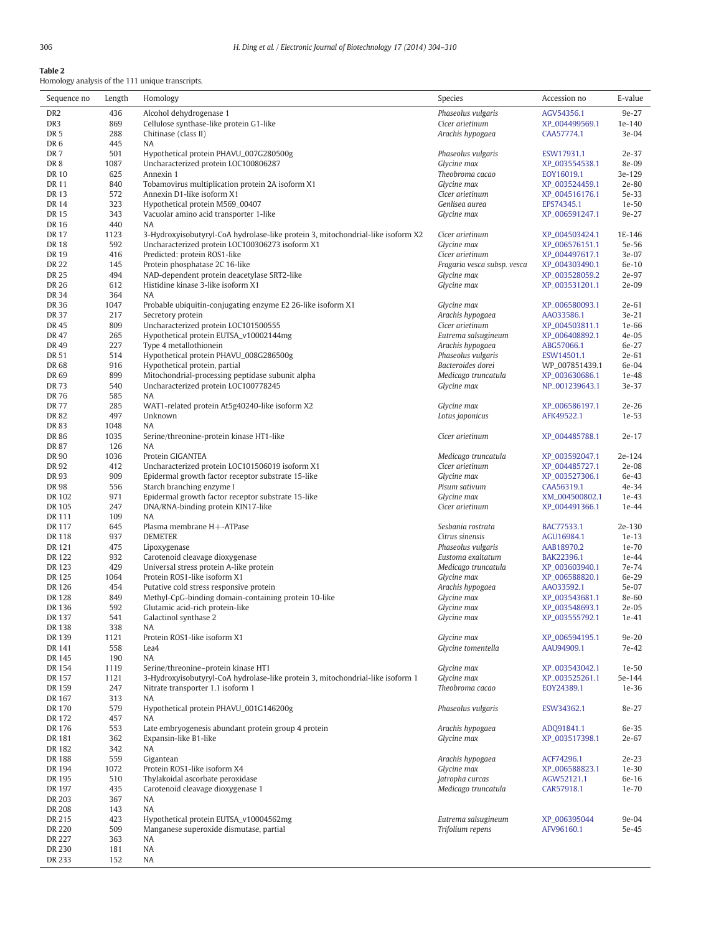<span id="page-2-0"></span>Table 2

Homology analysis of the 111 unique transcripts.

| Sequence no            | Length      | Homology                                                                                                            | Species                                  | Accession no                     | E-value           |
|------------------------|-------------|---------------------------------------------------------------------------------------------------------------------|------------------------------------------|----------------------------------|-------------------|
| DR <sub>2</sub>        | 436         | Alcohol dehydrogenase 1                                                                                             | Phaseolus vulgaris                       | AGV54356.1                       | 9e-27             |
| DR <sub>3</sub>        | 869         | Cellulose synthase-like protein G1-like                                                                             | Cicer arietinum                          | XP_004499569.1                   | 1e-140            |
| DR <sub>5</sub>        | 288         | Chitinase (class II)                                                                                                | Arachis hypogaea                         | CAA57774.1                       | 3e-04             |
| DR <sub>6</sub>        | 445         | NA                                                                                                                  |                                          |                                  |                   |
| DR <sub>7</sub>        | 501         | Hypothetical protein PHAVU_007G280500g                                                                              | Phaseolus vulgaris                       | ESW17931.1                       | 2e-37             |
| DR <sub>8</sub>        | 1087        | Uncharacterized protein LOC100806287                                                                                | Glycine max                              | XP_003554538.1                   | 8e-09             |
| <b>DR10</b>            | 625         | Annexin 1                                                                                                           | Theobroma cacao                          | EOY16019.1                       | 3e-129            |
| DR 11                  | 840         | Tobamovirus multiplication protein 2A isoform X1                                                                    | Glycine max                              | XP_003524459.1                   | 2e-80             |
| DR 13                  | 572         | Annexin D1-like isoform X1                                                                                          | Cicer arietinum                          | XP_004516176.1                   | 5e-33             |
| <b>DR14</b><br>DR 15   | 323<br>343  | Hypothetical protein M569_00407<br>Vacuolar amino acid transporter 1-like                                           | Genlisea aurea<br>Glycine max            | EPS74345.1<br>XP_006591247.1     | 1e-50<br>9e-27    |
| DR 16                  | 440         | NA                                                                                                                  |                                          |                                  |                   |
| DR 17                  | 1123        | 3-Hydroxyisobutyryl-CoA hydrolase-like protein 3, mitochondrial-like isoform X2                                     | Cicer arietinum                          | XP_004503424.1                   | 1E-146            |
| <b>DR18</b>            | 592         | Uncharacterized protein LOC100306273 isoform X1                                                                     | Glycine max                              | XP_006576151.1                   | 5e-56             |
| <b>DR19</b>            | 416         | Predicted: protein ROS1-like                                                                                        | Cicer arietinum                          | XP_004497617.1                   | 3e-07             |
| <b>DR 22</b>           | 145         | Protein phosphatase 2C 16-like                                                                                      | Fragaria vesca subsp. vesca              | XP_004303490.1                   | 6e-10             |
| DR 25                  | 494         | NAD-dependent protein deacetylase SRT2-like                                                                         | Glycine max                              | XP_003528059.2                   | 2e-97             |
| DR 26                  | 612         | Histidine kinase 3-like isoform X1                                                                                  | Glycine max                              | XP_003531201.1                   | 2e-09             |
| DR 34                  | 364         | NA                                                                                                                  |                                          |                                  |                   |
| DR 36                  | 1047        | Probable ubiquitin-conjugating enzyme E2 26-like isoform X1                                                         | Glycine max                              | XP_006580093.1                   | 2e-61             |
| DR 37                  | 217         | Secretory protein                                                                                                   | Arachis hypogaea                         | AA033586.1                       | $3e-21$           |
| DR 45                  | 809         | Uncharacterized protein LOC101500555                                                                                | Cicer arietinum                          | XP_004503811.1                   | 1e-66             |
| DR 47                  | 265         | Hypothetical protein EUTSA_v10002144mg                                                                              | Eutrema salsugineum                      | XP_006408892.1                   | 4e-05             |
| DR 49                  | 227         | Type 4 metallothionein                                                                                              | Arachis hypogaea                         | ABG57066.1                       | 6e-27             |
| DR 51                  | 514         | Hypothetical protein PHAVU_008G286500g                                                                              | Phaseolus vulgaris                       | ESW14501.1                       | 2e-61             |
| DR 68<br>DR 69         | 916<br>899  | Hypothetical protein, partial<br>Mitochondrial-processing peptidase subunit alpha                                   | Bacteroides dorei<br>Medicago truncatula | WP_007851439.1<br>XP_003630686.1 | 6e-04<br>1e-48    |
| DR 73                  | 540         | Uncharacterized protein LOC100778245                                                                                | Glycine max                              | NP_001239643.1                   | 3e-37             |
| DR 76                  | 585         | NA                                                                                                                  |                                          |                                  |                   |
| <b>DR 77</b>           | 285         | WAT1-related protein At5g40240-like isoform X2                                                                      | Glycine max                              | XP_006586197.1                   | $2e-26$           |
| DR 82                  | 497         | Unknown                                                                                                             | Lotus japonicus                          | AFK49522.1                       | 1e-53             |
| DR 83                  | 1048        | NA                                                                                                                  |                                          |                                  |                   |
| DR 86                  | 1035        | Serine/threonine-protein kinase HT1-like                                                                            | Cicer arietinum                          | XP_004485788.1                   | $2e-17$           |
| <b>DR 87</b>           | 126         | <b>NA</b>                                                                                                           |                                          |                                  |                   |
| DR 90                  | 1036        | Protein GIGANTEA                                                                                                    | Medicago truncatula                      | XP_003592047.1                   | 2e-124            |
| DR 92                  | 412         | Uncharacterized protein LOC101506019 isoform X1                                                                     | Cicer arietinum                          | XP_004485727.1                   | 2e-08             |
| DR 93                  | 909         | Epidermal growth factor receptor substrate 15-like                                                                  | Glycine max                              | XP_003527306.1                   | 6e-43             |
| DR 98                  | 556         | Starch branching enzyme I                                                                                           | Pisum sativum                            | CAA56319.1                       | 4e-34             |
| DR 102                 | 971         | Epidermal growth factor receptor substrate 15-like                                                                  | Glycine max                              | XM_004500802.1                   | $1e-43$           |
| DR 105                 | 247         | DNA/RNA-binding protein KIN17-like                                                                                  | Cicer arietinum                          | XP_004491366.1                   | 1e-44             |
| DR 111                 | 109         | NA.                                                                                                                 |                                          |                                  |                   |
| DR 117<br><b>DR118</b> | 645<br>937  | Plasma membrane H+-ATPase<br><b>DEMETER</b>                                                                         | Sesbania rostrata                        | BAC77533.1                       | 2e-130<br>$1e-13$ |
| DR 121                 | 475         | Lipoxygenase                                                                                                        | Citrus sinensis<br>Phaseolus vulgaris    | AGU16984.1<br>AAB18970.2         | 1e-70             |
| DR 122                 | 932         | Carotenoid cleavage dioxygenase                                                                                     | Eustoma exaltatum                        | BAK22396.1                       | 1e-44             |
| DR 123                 | 429         | Universal stress protein A-like protein                                                                             | Medicago truncatula                      | XP_003603940.1                   | 7e-74             |
| DR 125                 | 1064        | Protein ROS1-like isoform X1                                                                                        | Glycine max                              | XP_006588820.1                   | 6e-29             |
| DR 126                 | 454         | Putative cold stress responsive protein                                                                             | Arachis hypogaea                         | AA033592.1                       | 5e-07             |
| <b>DR128</b>           | 849         | Methyl-CpG-binding domain-containing protein 10-like                                                                | Glycine max                              | XP_003543681.1                   | 8e-60             |
| DR 136                 | 592         | Glutamic acid-rich protein-like                                                                                     | Glycine max                              | XP_003548693.1                   | 2e-05             |
| DR 137                 | 541         | Galactinol synthase 2                                                                                               | Glycine max                              | XP_003555792.1                   | 1e-41             |
| DR 138                 | 338         | NA                                                                                                                  |                                          |                                  |                   |
| DR 139                 | 1121        | Protein ROS1-like isoform X1                                                                                        | Glycine max                              | XP_006594195.1                   | $9e-20$           |
| DR 141                 | 558         | Lea4                                                                                                                | Glycine tomentella                       | AAU94909.1                       | 7e-42             |
| DR 145                 | 190         | NA                                                                                                                  |                                          |                                  |                   |
| DR 154                 | 1119        | Serine/threonine-protein kinase HT1                                                                                 | Glycine max                              | XP_003543042.1                   | $1e-50$           |
| DR 157<br>DR 159       | 1121<br>247 | 3-Hydroxyisobutyryl-CoA hydrolase-like protein 3, mitochondrial-like isoform 1<br>Nitrate transporter 1.1 isoform 1 | Glycine max<br>Theobroma cacao           | XP_003525261.1                   | 5e-144            |
| DR 167                 | 313         | NA                                                                                                                  |                                          | EOY24389.1                       | $1e-36$           |
| DR 170                 | 579         | Hypothetical protein PHAVU_001G146200g                                                                              | Phaseolus vulgaris                       | ESW34362.1                       | 8e-27             |
| DR 172                 | 457         | NA                                                                                                                  |                                          |                                  |                   |
| DR 176                 | 553         | Late embryogenesis abundant protein group 4 protein                                                                 | Arachis hypogaea                         | ADQ91841.1                       | 6e-35             |
| DR 181                 | 362         | Expansin-like B1-like                                                                                               | Glycine max                              | XP_003517398.1                   | 2e-67             |
| DR 182                 | 342         | NA                                                                                                                  |                                          |                                  |                   |
| DR 188                 | 559         | Gigantean                                                                                                           | Arachis hypogaea                         | ACF74296.1                       | $2e-23$           |
| DR 194                 | 1072        | Protein ROS1-like isoform X4                                                                                        | Glycine max                              | XP_006588823.1                   | $1e-30$           |
| DR 195                 | 510         | Thylakoidal ascorbate peroxidase                                                                                    | Jatropha curcas                          | AGW52121.1                       | 6e-16             |
| DR 197                 | 435         | Carotenoid cleavage dioxygenase 1                                                                                   | Medicago truncatula                      | CAR57918.1                       | 1e-70             |
| DR 203                 | 367         | NA                                                                                                                  |                                          |                                  |                   |
| DR 208                 | 143         | NA                                                                                                                  |                                          |                                  |                   |
| DR 215                 | 423         | Hypothetical protein EUTSA_v10004562mg                                                                              | Eutrema salsugineum                      | XP_006395044                     | 9e-04             |
| DR 220                 | 509         | Manganese superoxide dismutase, partial                                                                             | Trifolium repens                         | AFV96160.1                       | 5e-45             |
| DR 227                 | 363         | NA                                                                                                                  |                                          |                                  |                   |
| DR 230                 | 181         | NA                                                                                                                  |                                          |                                  |                   |
| DR 233                 | 152         | NA                                                                                                                  |                                          |                                  |                   |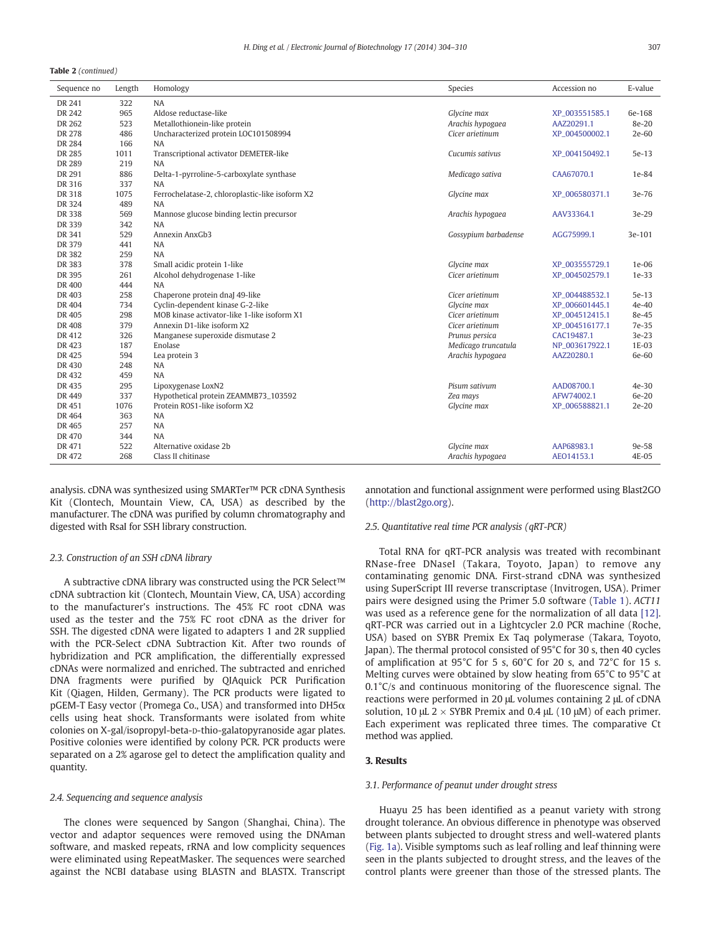Table 2 (continued)

| Sequence no | Length | Homology                                        | Species              | Accession no   | E-value |
|-------------|--------|-------------------------------------------------|----------------------|----------------|---------|
| DR 241      | 322    | <b>NA</b>                                       |                      |                |         |
| DR 242      | 965    | Aldose reductase-like                           | Glycine max          | XP_003551585.1 | 6e-168  |
| DR 262      | 523    | Metallothionein-like protein                    | Arachis hypogaea     | AAZ20291.1     | 8e-20   |
| DR 278      | 486    | Uncharacterized protein LOC101508994            | Cicer arietinum      | XP_004500002.1 | 2e-60   |
| DR 284      | 166    | <b>NA</b>                                       |                      |                |         |
| DR 285      | 1011   | Transcriptional activator DEMETER-like          | Cucumis sativus      | XP_004150492.1 | 5e-13   |
| DR 289      | 219    | <b>NA</b>                                       |                      |                |         |
| DR 291      | 886    | Delta-1-pyrroline-5-carboxylate synthase        | Medicago sativa      | CAA67070.1     | 1e-84   |
| DR 316      | 337    | <b>NA</b>                                       |                      |                |         |
| DR 318      | 1075   | Ferrochelatase-2, chloroplastic-like isoform X2 | Glycine max          | XP_006580371.1 | 3e-76   |
| DR 324      | 489    | <b>NA</b>                                       |                      |                |         |
| DR 338      | 569    | Mannose glucose binding lectin precursor        | Arachis hypogaea     | AAV33364.1     | 3e-29   |
| DR 339      | 342    | NA                                              |                      |                |         |
| DR 341      | 529    | Annexin AnxGb3                                  | Gossypium barbadense | AGG75999.1     | 3e-101  |
| DR 379      | 441    | <b>NA</b>                                       |                      |                |         |
| DR 382      | 259    | <b>NA</b>                                       |                      |                |         |
| DR 383      | 378    | Small acidic protein 1-like                     | Glycine max          | XP_003555729.1 | $1e-06$ |
| DR 395      | 261    | Alcohol dehydrogenase 1-like                    | Cicer arietinum      | XP_004502579.1 | 1e-33   |
| DR 400      | 444    | <b>NA</b>                                       |                      |                |         |
| DR 403      | 258    | Chaperone protein dnaJ 49-like                  | Cicer arietinum      | XP 004488532.1 | 5e-13   |
| DR 404      | 734    | Cyclin-dependent kinase G-2-like                | Glycine max          | XP 006601445.1 | $4e-40$ |
| DR 405      | 298    | MOB kinase activator-like 1-like isoform X1     | Cicer arietinum      | XP_004512415.1 | 8e-45   |
| DR 408      | 379    | Annexin D1-like isoform X2                      | Cicer arietinum      | XP_004516177.1 | 7e-35   |
| DR 412      | 326    | Manganese superoxide dismutase 2                | Prunus persica       | CAC19487.1     | 3e-23   |
| DR 423      | 187    | Enolase                                         | Medicago truncatula  | NP_003617922.1 | 1E-03   |
| DR 425      | 594    | Lea protein 3                                   | Arachis hypogaea     | AAZ20280.1     | 6e-60   |
| DR 430      | 248    | NA                                              |                      |                |         |
| DR 432      | 459    | <b>NA</b>                                       |                      |                |         |
| DR 435      | 295    | Lipoxygenase LoxN2                              | Pisum sativum        | AAD08700.1     | $4e-30$ |
| DR 449      | 337    | Hypothetical protein ZEAMMB73_103592            | Zea mays             | AFW74002.1     | 6e-20   |
| DR 451      | 1076   | Protein ROS1-like isoform X2                    | Glycine max          | XP_006588821.1 | $2e-20$ |
| DR 464      | 363    | <b>NA</b>                                       |                      |                |         |
| DR 465      | 257    | NA                                              |                      |                |         |
| DR 470      | 344    | NA                                              |                      |                |         |
| DR 471      | 522    | Alternative oxidase 2b                          | Glycine max          | AAP68983.1     | 9e-58   |
| DR 472      | 268    | Class II chitinase                              | Arachis hypogaea     | AEO14153.1     | 4E-05   |
|             |        |                                                 |                      |                |         |

analysis. cDNA was synthesized using SMARTer™ PCR cDNA Synthesis Kit (Clontech, Mountain View, CA, USA) as described by the manufacturer. The cDNA was purified by column chromatography and digested with RsaI for SSH library construction.

#### 2.3. Construction of an SSH cDNA library

A subtractive cDNA library was constructed using the PCR Select™ cDNA subtraction kit (Clontech, Mountain View, CA, USA) according to the manufacturer's instructions. The 45% FC root cDNA was used as the tester and the 75% FC root cDNA as the driver for SSH. The digested cDNA were ligated to adapters 1 and 2R supplied with the PCR-Select cDNA Subtraction Kit. After two rounds of hybridization and PCR amplification, the differentially expressed cDNAs were normalized and enriched. The subtracted and enriched DNA fragments were purified by QIAquick PCR Purification Kit (Qiagen, Hilden, Germany). The PCR products were ligated to pGEM-T Easy vector (Promega Co., USA) and transformed into DH5α cells using heat shock. Transformants were isolated from white colonies on X-gal/isopropyl-beta-D-thio-galatopyranoside agar plates. Positive colonies were identified by colony PCR. PCR products were separated on a 2% agarose gel to detect the amplification quality and quantity.

#### 2.4. Sequencing and sequence analysis

The clones were sequenced by Sangon (Shanghai, China). The vector and adaptor sequences were removed using the DNAman software, and masked repeats, rRNA and low complicity sequences were eliminated using RepeatMasker. The sequences were searched against the NCBI database using BLASTN and BLASTX. Transcript

annotation and functional assignment were performed using Blast2GO [\(http://blast2go.org](http://blast2go.org)).

#### 2.5. Quantitative real time PCR analysis (qRT-PCR)

Total RNA for qRT-PCR analysis was treated with recombinant RNase-free DNaseI (Takara, Toyoto, Japan) to remove any contaminating genomic DNA. First-strand cDNA was synthesized using SuperScript III reverse transcriptase (Invitrogen, USA). Primer pairs were designed using the Primer 5.0 software [\(Table 1](#page-1-0)). ACT11 was used as a reference gene for the normalization of all data [\[12\].](#page-6-0) qRT-PCR was carried out in a Lightcycler 2.0 PCR machine (Roche, USA) based on SYBR Premix Ex Taq polymerase (Takara, Toyoto, Japan). The thermal protocol consisted of 95°C for 30 s, then 40 cycles of amplification at 95°C for 5 s, 60°C for 20 s, and 72°C for 15 s. Melting curves were obtained by slow heating from 65°C to 95°C at 0.1°C/s and continuous monitoring of the fluorescence signal. The reactions were performed in 20 μL volumes containing 2 μL of cDNA solution, 10 μL 2  $\times$  SYBR Premix and 0.4 μL (10 μM) of each primer. Each experiment was replicated three times. The comparative Ct method was applied.

#### 3. Results

#### 3.1. Performance of peanut under drought stress

Huayu 25 has been identified as a peanut variety with strong drought tolerance. An obvious difference in phenotype was observed between plants subjected to drought stress and well-watered plants [\(Fig. 1a\)](#page-1-0). Visible symptoms such as leaf rolling and leaf thinning were seen in the plants subjected to drought stress, and the leaves of the control plants were greener than those of the stressed plants. The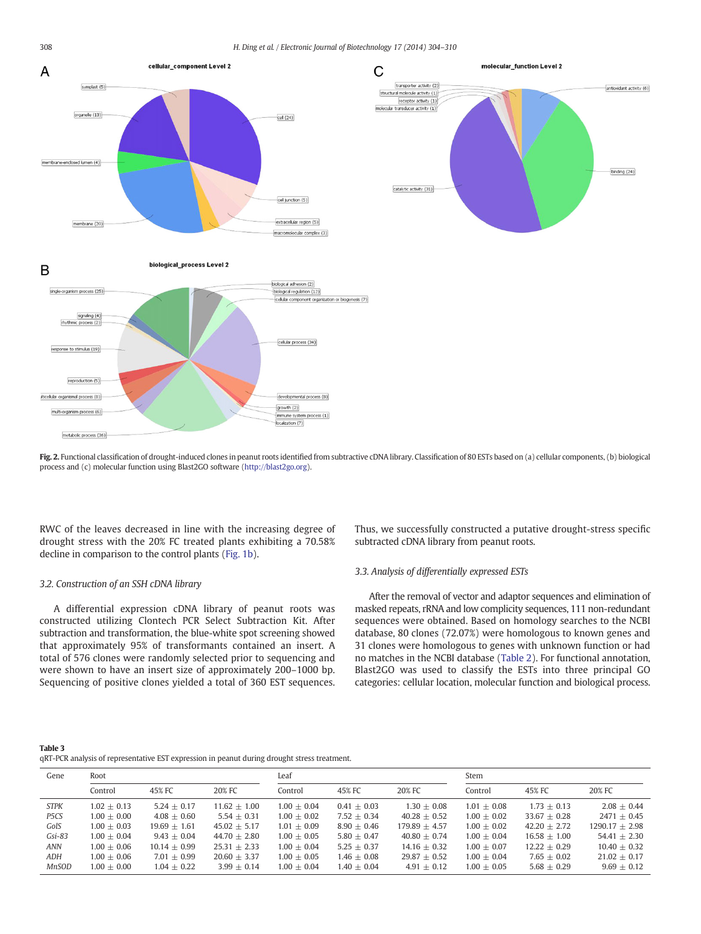<span id="page-4-0"></span>



### B

biological\_process Level 2



Fig. 2. Functional classification of drought-induced clones in peanut roots identified from subtractive cDNA library. Classification of 80 ESTs based on (a) cellular components, (b) biological process and (c) molecular function using Blast2GO software ([http://blast2go.org\)](http://blast2go.org).

RWC of the leaves decreased in line with the increasing degree of drought stress with the 20% FC treated plants exhibiting a 70.58% decline in comparison to the control plants ([Fig. 1b\)](#page-1-0).

#### 3.2. Construction of an SSH cDNA library

A differential expression cDNA library of peanut roots was constructed utilizing Clontech PCR Select Subtraction Kit. After subtraction and transformation, the blue-white spot screening showed that approximately 95% of transformants contained an insert. A total of 576 clones were randomly selected prior to sequencing and were shown to have an insert size of approximately 200–1000 bp. Sequencing of positive clones yielded a total of 360 EST sequences. Thus, we successfully constructed a putative drought-stress specific subtracted cDNA library from peanut roots.

#### 3.3. Analysis of differentially expressed ESTs

After the removal of vector and adaptor sequences and elimination of masked repeats, rRNA and low complicity sequences, 111 non-redundant sequences were obtained. Based on homology searches to the NCBI database, 80 clones (72.07%) were homologous to known genes and 31 clones were homologous to genes with unknown function or had no matches in the NCBI database ([Table 2\)](#page-2-0). For functional annotation, Blast2GO was used to classify the ESTs into three principal GO categories: cellular location, molecular function and biological process.

#### Table 3

qRT-PCR analysis of representative EST expression in peanut during drought stress treatment.

| Gene         | Root          |                |                | Leaf          |               |                 | Stem          |                |                  |
|--------------|---------------|----------------|----------------|---------------|---------------|-----------------|---------------|----------------|------------------|
|              | Control       | 45% FC         | 20% FC         | Control       | 45% FC        | 20% FC          | Control       | 45% FC         | 20% FC           |
| <b>STPK</b>  | $1.02 + 0.13$ | $5.24 + 0.17$  | $11.62 + 1.00$ | $1.00 + 0.04$ | $0.41 + 0.03$ | $1.30 + 0.08$   | $1.01 + 0.08$ | $1.73 + 0.13$  | $2.08 + 0.44$    |
| P5CS         | $1.00 + 0.00$ | $4.08 + 0.60$  | $5.54 + 0.31$  | $1.00 + 0.02$ | $7.52 + 0.34$ | $40.28 + 0.52$  | $1.00 + 0.02$ | $33.67 + 0.28$ | $2471 + 0.45$    |
| GolS         | $1.00 + 0.03$ | $19.69 + 1.61$ | $45.02 + 5.17$ | $1.01 + 0.09$ | $8.90 + 0.46$ | $179.89 + 4.57$ | $1.00 + 0.02$ | $42.20 + 2.72$ | $1290.17 + 2.98$ |
| $Gsi-83$     | $1.00 + 0.04$ | $9.43 + 0.04$  | $44.70 + 2.80$ | $1.00 + 0.05$ | $5.80 + 0.47$ | $40.80 + 0.74$  | $1.00 + 0.04$ | $16.58 + 1.00$ | $54.41 + 2.30$   |
| ANN          | $0.00 + 0.06$ | $10.14 + 0.99$ | $25.31 + 2.33$ | $1.00 + 0.04$ | $5.25 + 0.37$ | $14.16 + 0.32$  | $1.00 + 0.07$ | $12.22 + 0.29$ | $10.40 + 0.32$   |
| ADH          | $1.00 + 0.06$ | $7.01 + 0.99$  | $20.60 + 3.37$ | $1.00 + 0.05$ | $1.46 + 0.08$ | $29.87 + 0.52$  | $1.00 + 0.04$ | $7.65 + 0.02$  | $21.02 + 0.17$   |
| <b>MnSOD</b> | $0.00 + 0.00$ | $1.04 + 0.22$  | $3.99 + 0.14$  | $1.00 + 0.04$ | $1.40 + 0.04$ | $4.91 + 0.12$   | $1.00 + 0.05$ | $5.68 + 0.29$  | $9.69 + 0.12$    |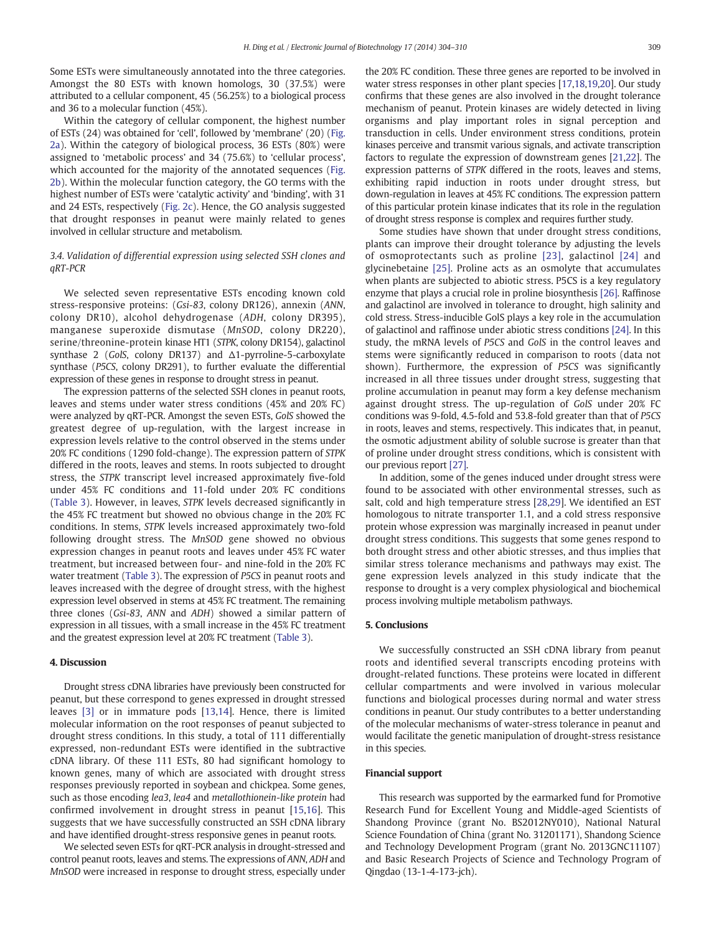Some ESTs were simultaneously annotated into the three categories. Amongst the 80 ESTs with known homologs, 30 (37.5%) were attributed to a cellular component, 45 (56.25%) to a biological process and 36 to a molecular function (45%).

Within the category of cellular component, the highest number of ESTs (24) was obtained for 'cell', followed by 'membrane' (20) [\(Fig.](#page-4-0) [2a](#page-4-0)). Within the category of biological process, 36 ESTs (80%) were assigned to 'metabolic process' and 34 (75.6%) to 'cellular process', which accounted for the majority of the annotated sequences ([Fig.](#page-4-0) [2b\)](#page-4-0). Within the molecular function category, the GO terms with the highest number of ESTs were 'catalytic activity' and 'binding', with 31 and 24 ESTs, respectively [\(Fig. 2c\)](#page-4-0). Hence, the GO analysis suggested that drought responses in peanut were mainly related to genes involved in cellular structure and metabolism.

#### 3.4. Validation of differential expression using selected SSH clones and qRT-PCR

We selected seven representative ESTs encoding known cold stress-responsive proteins: (Gsi-83, colony DR126), annexin (ANN, colony DR10), alcohol dehydrogenase (ADH, colony DR395), manganese superoxide dismutase (MnSOD, colony DR220), serine/threonine-protein kinase HT1 (STPK, colony DR154), galactinol synthase 2 (GolS, colony DR137) and Δ1-pyrroline-5-carboxylate synthase (P5CS, colony DR291), to further evaluate the differential expression of these genes in response to drought stress in peanut.

The expression patterns of the selected SSH clones in peanut roots, leaves and stems under water stress conditions (45% and 20% FC) were analyzed by qRT-PCR. Amongst the seven ESTs, GolS showed the greatest degree of up-regulation, with the largest increase in expression levels relative to the control observed in the stems under 20% FC conditions (1290 fold-change). The expression pattern of STPK differed in the roots, leaves and stems. In roots subjected to drought stress, the STPK transcript level increased approximately five-fold under 45% FC conditions and 11-fold under 20% FC conditions [\(Table 3](#page-4-0)). However, in leaves, STPK levels decreased significantly in the 45% FC treatment but showed no obvious change in the 20% FC conditions. In stems, STPK levels increased approximately two-fold following drought stress. The MnSOD gene showed no obvious expression changes in peanut roots and leaves under 45% FC water treatment, but increased between four- and nine-fold in the 20% FC water treatment ([Table 3](#page-4-0)). The expression of P5CS in peanut roots and leaves increased with the degree of drought stress, with the highest expression level observed in stems at 45% FC treatment. The remaining three clones (Gsi-83, ANN and ADH) showed a similar pattern of expression in all tissues, with a small increase in the 45% FC treatment and the greatest expression level at 20% FC treatment ([Table 3\)](#page-4-0).

#### 4. Discussion

Drought stress cDNA libraries have previously been constructed for peanut, but these correspond to genes expressed in drought stressed leaves [\[3\]](#page-6-0) or in immature pods [\[13,14\]](#page-6-0). Hence, there is limited molecular information on the root responses of peanut subjected to drought stress conditions. In this study, a total of 111 differentially expressed, non-redundant ESTs were identified in the subtractive cDNA library. Of these 111 ESTs, 80 had significant homology to known genes, many of which are associated with drought stress responses previously reported in soybean and chickpea. Some genes, such as those encoding lea3, lea4 and metallothionein-like protein had confirmed involvement in drought stress in peanut [\[15,16\]](#page-6-0). This suggests that we have successfully constructed an SSH cDNA library and have identified drought-stress responsive genes in peanut roots.

We selected seven ESTs for qRT-PCR analysis in drought-stressed and control peanut roots, leaves and stems. The expressions of ANN, ADH and MnSOD were increased in response to drought stress, especially under the 20% FC condition. These three genes are reported to be involved in water stress responses in other plant species [\[17,18,19](#page-6-0),[20\]](#page-6-0). Our study confirms that these genes are also involved in the drought tolerance mechanism of peanut. Protein kinases are widely detected in living organisms and play important roles in signal perception and transduction in cells. Under environment stress conditions, protein kinases perceive and transmit various signals, and activate transcription factors to regulate the expression of downstream genes [[21](#page-6-0),[22\]](#page-6-0). The expression patterns of STPK differed in the roots, leaves and stems, exhibiting rapid induction in roots under drought stress, but down-regulation in leaves at 45% FC conditions. The expression pattern of this particular protein kinase indicates that its role in the regulation of drought stress response is complex and requires further study.

Some studies have shown that under drought stress conditions, plants can improve their drought tolerance by adjusting the levels of osmoprotectants such as proline [\[23\]](#page-6-0), galactinol [\[24\]](#page-6-0) and glycinebetaine [\[25\].](#page-6-0) Proline acts as an osmolyte that accumulates when plants are subjected to abiotic stress. P5CS is a key regulatory enzyme that plays a crucial role in proline biosynthesis [\[26\].](#page-6-0) Raffinose and galactinol are involved in tolerance to drought, high salinity and cold stress. Stress-inducible GolS plays a key role in the accumulation of galactinol and raffinose under abiotic stress conditions [\[24\].](#page-6-0) In this study, the mRNA levels of P5CS and GolS in the control leaves and stems were significantly reduced in comparison to roots (data not shown). Furthermore, the expression of P5CS was significantly increased in all three tissues under drought stress, suggesting that proline accumulation in peanut may form a key defense mechanism against drought stress. The up-regulation of GolS under 20% FC conditions was 9-fold, 4.5-fold and 53.8-fold greater than that of P5CS in roots, leaves and stems, respectively. This indicates that, in peanut, the osmotic adjustment ability of soluble sucrose is greater than that of proline under drought stress conditions, which is consistent with our previous report [\[27\]](#page-6-0).

In addition, some of the genes induced under drought stress were found to be associated with other environmental stresses, such as salt, cold and high temperature stress [\[28,29\]](#page-6-0). We identified an EST homologous to nitrate transporter 1.1, and a cold stress responsive protein whose expression was marginally increased in peanut under drought stress conditions. This suggests that some genes respond to both drought stress and other abiotic stresses, and thus implies that similar stress tolerance mechanisms and pathways may exist. The gene expression levels analyzed in this study indicate that the response to drought is a very complex physiological and biochemical process involving multiple metabolism pathways.

#### 5. Conclusions

We successfully constructed an SSH cDNA library from peanut roots and identified several transcripts encoding proteins with drought-related functions. These proteins were located in different cellular compartments and were involved in various molecular functions and biological processes during normal and water stress conditions in peanut. Our study contributes to a better understanding of the molecular mechanisms of water-stress tolerance in peanut and would facilitate the genetic manipulation of drought-stress resistance in this species.

#### Financial support

This research was supported by the earmarked fund for Promotive Research Fund for Excellent Young and Middle-aged Scientists of Shandong Province (grant No. BS2012NY010), National Natural Science Foundation of China (grant No. 31201171), Shandong Science and Technology Development Program (grant No. 2013GNC11107) and Basic Research Projects of Science and Technology Program of Qingdao (13-1-4-173-jch).